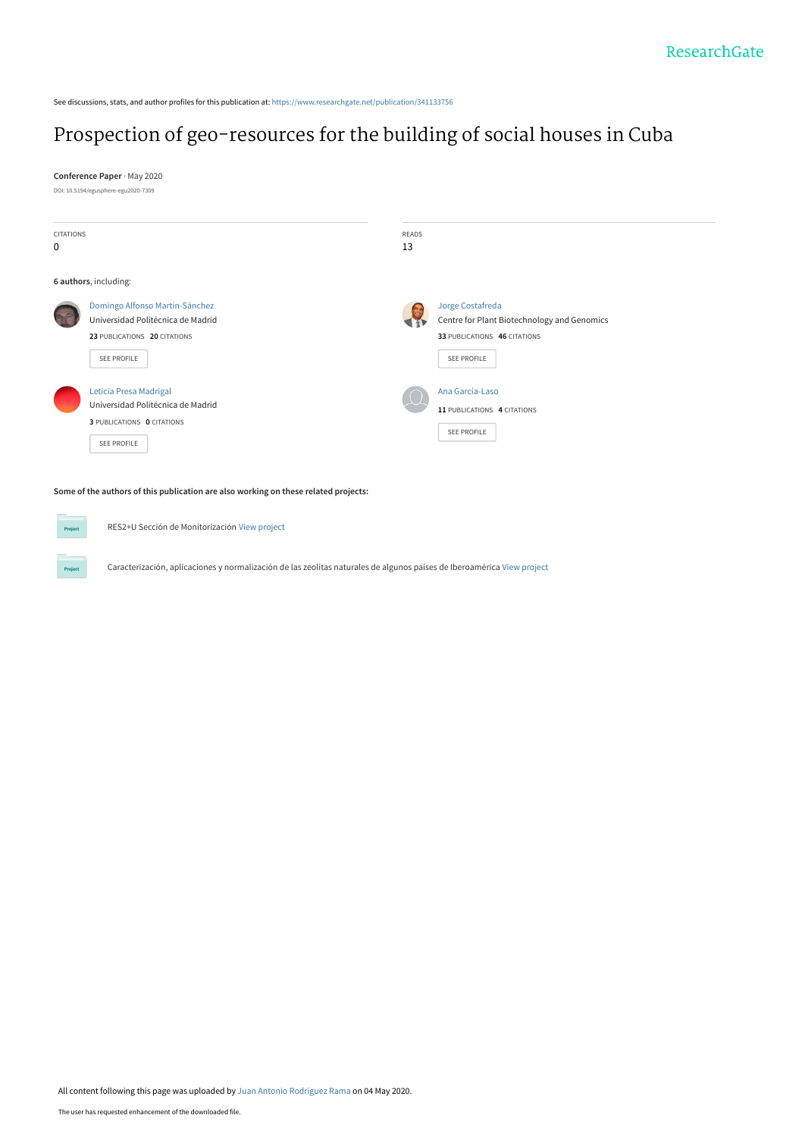See discussions, stats, and author profiles for this publication at: [https://www.researchgate.net/publication/341133756](https://www.researchgate.net/publication/341133756_Prospection_of_geo-resources_for_the_building_of_social_houses_in_Cuba?enrichId=rgreq-4f6da7058f262de080c4c6ad1c7b2fc1-XXX&enrichSource=Y292ZXJQYWdlOzM0MTEzMzc1NjtBUzo4ODc1MTYxMDIxMzE3MTNAMTU4ODYxMTczNjg0Nw%3D%3D&el=1_x_2&_esc=publicationCoverPdf)

## [Prospection of geo-resources for the building of social houses in Cuba](https://www.researchgate.net/publication/341133756_Prospection_of_geo-resources_for_the_building_of_social_houses_in_Cuba?enrichId=rgreq-4f6da7058f262de080c4c6ad1c7b2fc1-XXX&enrichSource=Y292ZXJQYWdlOzM0MTEzMzc1NjtBUzo4ODc1MTYxMDIxMzE3MTNAMTU4ODYxMTczNjg0Nw%3D%3D&el=1_x_3&_esc=publicationCoverPdf)

**Conference Paper** · May 2020 DOI: 10.5194/egusphere-egu2020-7309

| <b>CITATIONS</b><br>$\mathbf 0$ |                                                                                                                    | READS<br>13                                                                                                    |
|---------------------------------|--------------------------------------------------------------------------------------------------------------------|----------------------------------------------------------------------------------------------------------------|
|                                 | 6 authors, including:                                                                                              |                                                                                                                |
|                                 | Domingo Alfonso Martín-Sánchez<br>Universidad Politécnica de Madrid<br>23 PUBLICATIONS 20 CITATIONS<br>SEE PROFILE | Jorge Costafreda<br>Centre for Plant Biotechnology and Genomics<br>33 PUBLICATIONS 46 CITATIONS<br>SEE PROFILE |
|                                 | Leticia Presa Madrigal<br>Universidad Politécnica de Madrid<br>3 PUBLICATIONS 0 CITATIONS<br>SEE PROFILE           | Ana García-Laso<br>11 PUBLICATIONS 4 CITATIONS<br>SEE PROFILE                                                  |

## **Some of the authors of this publication are also working on these related projects:**

RES2+U Sección de Monitorización [View project](https://www.researchgate.net/project/RES2-U-Seccion-de-Monitorizacion?enrichId=rgreq-4f6da7058f262de080c4c6ad1c7b2fc1-XXX&enrichSource=Y292ZXJQYWdlOzM0MTEzMzc1NjtBUzo4ODc1MTYxMDIxMzE3MTNAMTU4ODYxMTczNjg0Nw%3D%3D&el=1_x_9&_esc=publicationCoverPdf)

Caracterización, aplicaciones y normalización de las zeolitas naturales de algunos países de Iberoamérica [View project](https://www.researchgate.net/project/Caracterizacion-aplicaciones-y-normalizacion-de-las-zeolitas-naturales-de-algunos-paises-de-Iberoamerica?enrichId=rgreq-4f6da7058f262de080c4c6ad1c7b2fc1-XXX&enrichSource=Y292ZXJQYWdlOzM0MTEzMzc1NjtBUzo4ODc1MTYxMDIxMzE3MTNAMTU4ODYxMTczNjg0Nw%3D%3D&el=1_x_9&_esc=publicationCoverPdf)